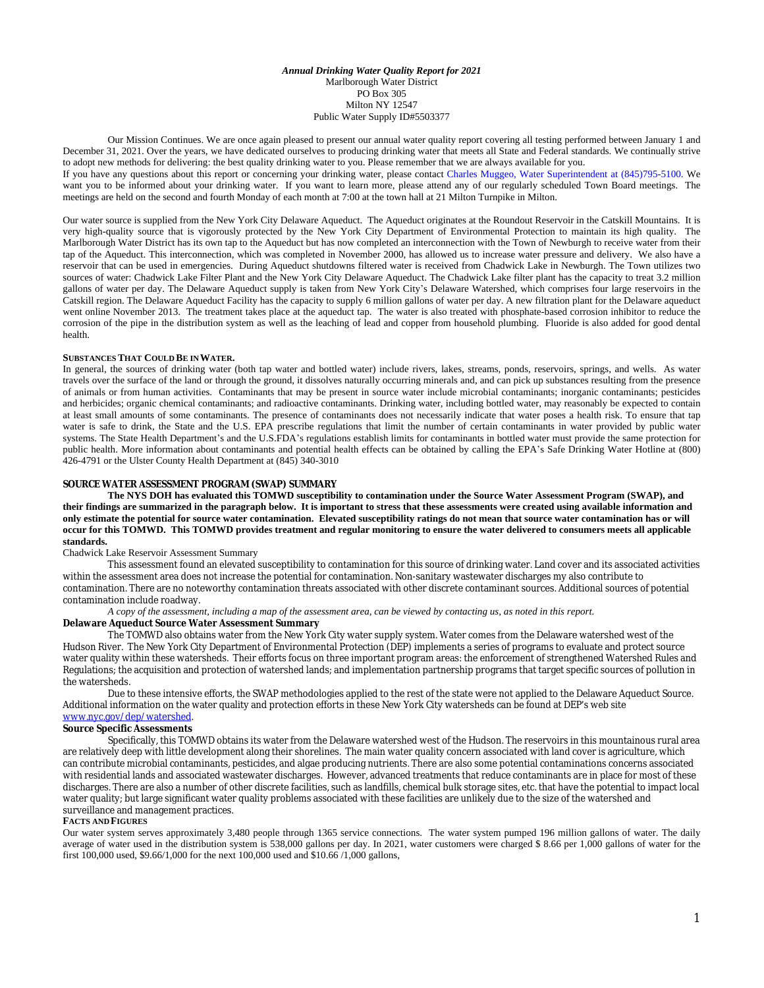*Annual Drinking Water Quality Report for 2021* Marlborough Water District PO Box 305 Milton NY 12547 Public Water Supply ID#5503377

Our Mission Continues. We are once again pleased to present our annual water quality report covering all testing performed between January 1 and December 31, 2021. Over the years, we have dedicated ourselves to producing drinking water that meets all State and Federal standards. We continually strive to adopt new methods for delivering: the best quality drinking water to you. Please remember that we are always available for you.

If you have any questions about this report or concerning your drinking water, please contact Charles Muggeo, Water Superintendent at (845)795-5100. We want you to be informed about your drinking water. If you want to learn more, please attend any of our regularly scheduled Town Board meetings. The meetings are held on the second and fourth Monday of each month at 7:00 at the town hall at 21 Milton Turnpike in Milton.

Our water source is supplied from the New York City Delaware Aqueduct. The Aqueduct originates at the Roundout Reservoir in the Catskill Mountains. It is very high-quality source that is vigorously protected by the New York City Department of Environmental Protection to maintain its high quality. The Marlborough Water District has its own tap to the Aqueduct but has now completed an interconnection with the Town of Newburgh to receive water from their tap of the Aqueduct. This interconnection, which was completed in November 2000, has allowed us to increase water pressure and delivery. We also have a reservoir that can be used in emergencies. During Aqueduct shutdowns filtered water is received from Chadwick Lake in Newburgh. The Town utilizes two sources of water: Chadwick Lake Filter Plant and the New York City Delaware Aqueduct. The Chadwick Lake filter plant has the capacity to treat 3.2 million gallons of water per day. The Delaware Aqueduct supply is taken from New York City's Delaware Watershed, which comprises four large reservoirs in the Catskill region. The Delaware Aqueduct Facility has the capacity to supply 6 million gallons of water per day. A new filtration plant for the Delaware aqueduct went online November 2013. The treatment takes place at the aqueduct tap. The water is also treated with phosphate-based corrosion inhibitor to reduce the corrosion of the pipe in the distribution system as well as the leaching of lead and copper from household plumbing. Fluoride is also added for good dental health.

#### **SUBSTANCES THAT COULD BE IN WATER.**

In general, the sources of drinking water (both tap water and bottled water) include rivers, lakes, streams, ponds, reservoirs, springs, and wells. As water travels over the surface of the land or through the ground, it dissolves naturally occurring minerals and, and can pick up substances resulting from the presence of animals or from human activities. Contaminants that may be present in source water include microbial contaminants; inorganic contaminants; pesticides and herbicides; organic chemical contaminants; and radioactive contaminants. Drinking water, including bottled water, may reasonably be expected to contain at least small amounts of some contaminants. The presence of contaminants does not necessarily indicate that water poses a health risk. To ensure that tap water is safe to drink, the State and the U.S. EPA prescribe regulations that limit the number of certain contaminants in water provided by public water systems. The State Health Department's and the U.S.FDA's regulations establish limits for contaminants in bottled water must provide the same protection for public health. More information about contaminants and potential health effects can be obtained by calling the EPA's Safe Drinking Water Hotline at (800) 426-4791 or the Ulster County Health Department at (845) 340-3010

#### **SOURCE WATER ASSESSMENT PROGRAM (SWAP) SUMMARY**

**The NYS DOH has evaluated this TOMWD susceptibility to contamination under the Source Water Assessment Program (SWAP), and their findings are summarized in the paragraph below. It is important to stress that these assessments were created using available information and only estimate the potential for source water contamination. Elevated susceptibility ratings do not mean that source water contamination has or will occur for this TOMWD. This TOMWD provides treatment and regular monitoring to ensure the water delivered to consumers meets all applicable standards.**

### Chadwick Lake Reservoir Assessment Summary

This assessment found an elevated susceptibility to contamination for this source of drinking water. Land cover and its associated activities within the assessment area does not increase the potential for contamination. Non-sanitary wastewater discharges my also contribute to contamination. There are no noteworthy contamination threats associated with other discrete contaminant sources. Additional sources of potential contamination include roadway.

#### *A copy of the assessment, including a map of the assessment area, can be viewed by contacting us, as noted in this report.* **Delaware Aqueduct Source Water Assessment Summary**

The TOMWD also obtains water from the New York City water supply system. Water comes from the Delaware watershed west of the Hudson River. The New York City Department of Environmental Protection (DEP) implements a series of programs to evaluate and protect source water quality within these watersheds. Their efforts focus on three important program areas: the enforcement of strengthened Watershed Rules and Regulations; the acquisition and protection of watershed lands; and implementation partnership programs that target specific sources of pollution in the watersheds.

Due to these intensive efforts, the SWAP methodologies applied to the rest of the state were not applied to the Delaware Aqueduct Source. Additional information on the water quality and protection efforts in these New York City watersheds can be found at DEP's web site [www.nyc.gov/dep/watershed](http://www.nyc.gov/dep/watershed).

#### **Source Specific Assessments**

Specifically, this TOMWD obtains its water from the Delaware watershed west of the Hudson. The reservoirs in this mountainous rural area are relatively deep with little development along their shorelines. The main water quality concern associated with land cover is agriculture, which can contribute microbial contaminants, pesticides, and algae producing nutrients. There are also some potential contaminations concerns associated with residential lands and associated wastewater discharges. However, advanced treatments that reduce contaminants are in place for most of these discharges. There are also a number of other discrete facilities, such as landfills, chemical bulk storage sites, etc. that have the potential to impact local water quality; but large significant water quality problems associated with these facilities are unlikely due to the size of the watershed and surveillance and management practices.

#### **FACTS AND FIGURES**

Our water system serves approximately 3,480 people through 1365 service connections. The water system pumped 196 million gallons of water. The daily average of water used in the distribution system is 538,000 gallons per day. In 2021, water customers were charged \$ 8.66 per 1,000 gallons of water for the first 100,000 used, \$9.66/1,000 for the next 100,000 used and \$10.66 /1,000 gallons,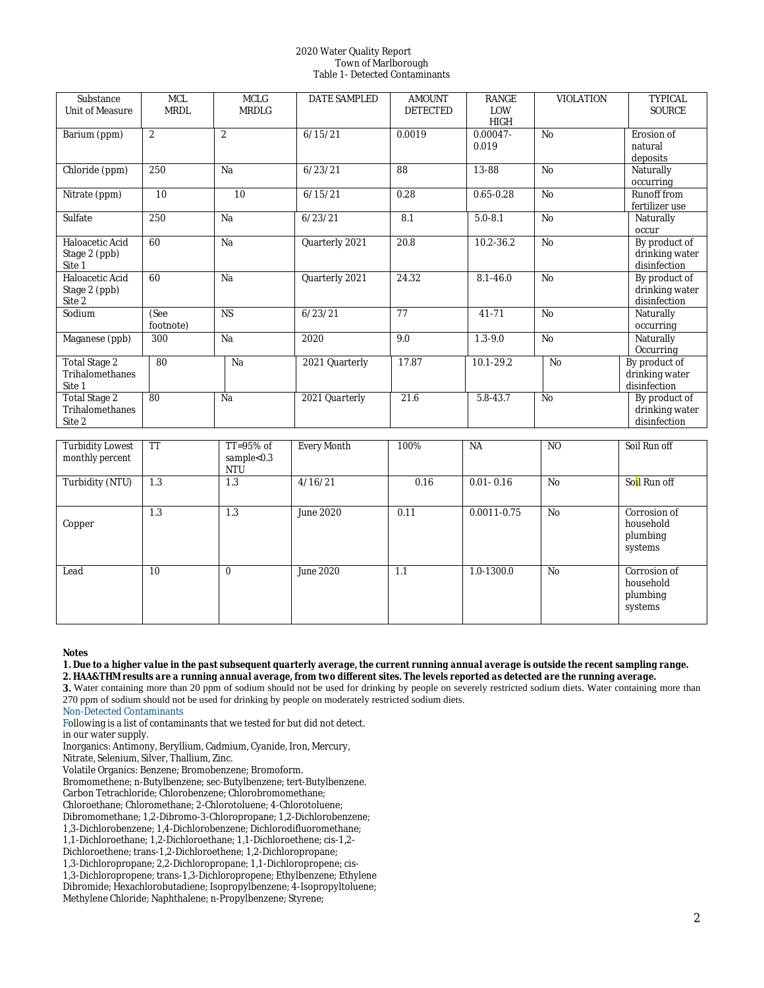## 2020 Water Quality Report Town of Marlborough Table 1- Detected Contaminants

| Substance<br><b>Unit of Measure</b>               | <b>MCL</b><br><b>MRDL</b> | <b>MCLG</b><br>MRDLG | DATE SAMPLED   | <b>AMOUNT</b><br><b>DETECTED</b> | <b>RANGE</b><br>LOW<br><b>HIGH</b> | <b>VIOLATION</b> | <b>TYPICAL</b><br><b>SOURCE</b>                 |
|---------------------------------------------------|---------------------------|----------------------|----------------|----------------------------------|------------------------------------|------------------|-------------------------------------------------|
| Barium (ppm)                                      | $\overline{c}$            | $\overline{c}$       | 6/15/21        | 0.0019                           | $0.00047 -$<br>0.019               | N <sub>o</sub>   | Erosion of<br>natural<br>deposits               |
| Chloride (ppm)                                    | 250                       | Na                   | 6/23/21        | 88                               | 13-88                              | No               | Naturally<br>occurring                          |
| Nitrate (ppm)                                     | 10                        | 10                   | 6/15/21        | 0.28                             | $0.65 - 0.28$                      | N <sub>o</sub>   | Runoff from<br>fertilizer use                   |
| Sulfate                                           | 250                       | Na                   | 6/23/21        | 8.1                              | $5.0 - 8.1$                        | N <sub>o</sub>   | Naturally<br>occur                              |
| Haloacetic Acid<br>Stage 2 (ppb)<br>Site 1        | 60                        | Na                   | Quarterly 2021 | 20.8                             | 10.2-36.2                          | N <sub>o</sub>   | By product of<br>drinking water<br>disinfection |
| Haloacetic Acid<br>Stage 2 (ppb)<br>Site 2        | 60                        | Na                   | Quarterly 2021 | 24.32                            | $8.1 - 46.0$                       | N <sub>o</sub>   | By product of<br>drinking water<br>disinfection |
| Sodium                                            | (See<br>footnote)         | <b>NS</b>            | 6/23/21        | 77                               | 41-71                              | No               | Naturally<br>occurring                          |
| Maganese (ppb)                                    | 300                       | Na                   | 2020           | 9.0                              | $1.3 - 9.0$                        | N <sub>o</sub>   | Naturally<br>Occurring                          |
| <b>Total Stage 2</b><br>Trihalomethanes<br>Site 1 | 80                        | Na                   | 2021 Quarterly | 17.87                            | 10.1-29.2                          | No               | By product of<br>drinking water<br>disinfection |
| <b>Total Stage 2</b><br>Trihalomethanes<br>Site 2 | 80                        | Na                   | 2021 Quarterly | 21.6                             | 5.8-43.7                           | N <sub>o</sub>   | By product of<br>drinking water<br>disinfection |

| <b>Turbidity Lowest</b><br>monthly percent | TT  | $TT=95\%$ of<br>sample<0.3<br><b>NTU</b> | Every Month      | 100% | NA              | NO             | Soil Run off                                     |
|--------------------------------------------|-----|------------------------------------------|------------------|------|-----------------|----------------|--------------------------------------------------|
| Turbidity (NTU)                            | 1.3 | 1.3                                      | 4/16/21          | 0.16 | $0.01 - 0.16$   | N <sub>o</sub> | So <mark>i</mark> l Run off                      |
| Copper                                     | 1.3 | 1.3                                      | June 2020        | 0.11 | $0.0011 - 0.75$ | N <sub>o</sub> | Corrosion of<br>household<br>plumbing<br>systems |
| Lead                                       | 10  | $\theta$                                 | <b>June 2020</b> | 1.1  | $1.0 - 1300.0$  | N <sub>O</sub> | Corrosion of<br>household<br>plumbing<br>systems |

#### *Notes*

*1. Due to a higher value in the past subsequent quarterly average, the current running annual average is outside the recent sampling range. 2. HAA&THM results are a running annual average, from two different sites. The levels reported as detected are the running average.*

**3.** Water containing more than 20 ppm of sodium should not be used for drinking by people on severely restricted sodium diets. Water containing more than 270 ppm of sodium should not be used for drinking by people on moderately restricted sodium diets.

Non-Detected Contaminants

Following is a list of contaminants that we tested for but did not detect.

in our water supply.

Inorganics: Antimony, Beryllium, Cadmium, Cyanide, Iron, Mercury,

Nitrate, Selenium, Silver, Thallium, Zinc.

Volatile Organics: Benzene; Bromobenzene; Bromoform.

Bromomethene; n-Butylbenzene; sec-Butylbenzene; tert-Butylbenzene.

Carbon Tetrachloride; Chlorobenzene; Chlorobromomethane;

Chloroethane; Chloromethane; 2-Chlorotoluene; 4-Chlorotoluene;

Dibromomethane; 1,2-Dibromo-3-Chloropropane; 1,2-Dichlorobenzene;

1,3-Dichlorobenzene; 1,4-Dichlorobenzene; Dichlorodifluoromethane;

1,1-Dichloroethane; 1,2-Dichloroethane; 1,1-Dichloroethene; cis-1,2-

Dichloroethene; trans-1,2-Dichloroethene; 1,2-Dichloropropane;

1,3-Dichloropropane; 2,2-Dichloropropane; 1,1-Dichloropropene; cis-

1,3-Dichloropropene; trans-1,3-Dichloropropene; Ethylbenzene; Ethylene

Dibromide; Hexachlorobutadiene; Isopropylbenzene; 4-Isopropyltoluene;

Methylene Chloride; Naphthalene; n-Propylbenzene; Styrene;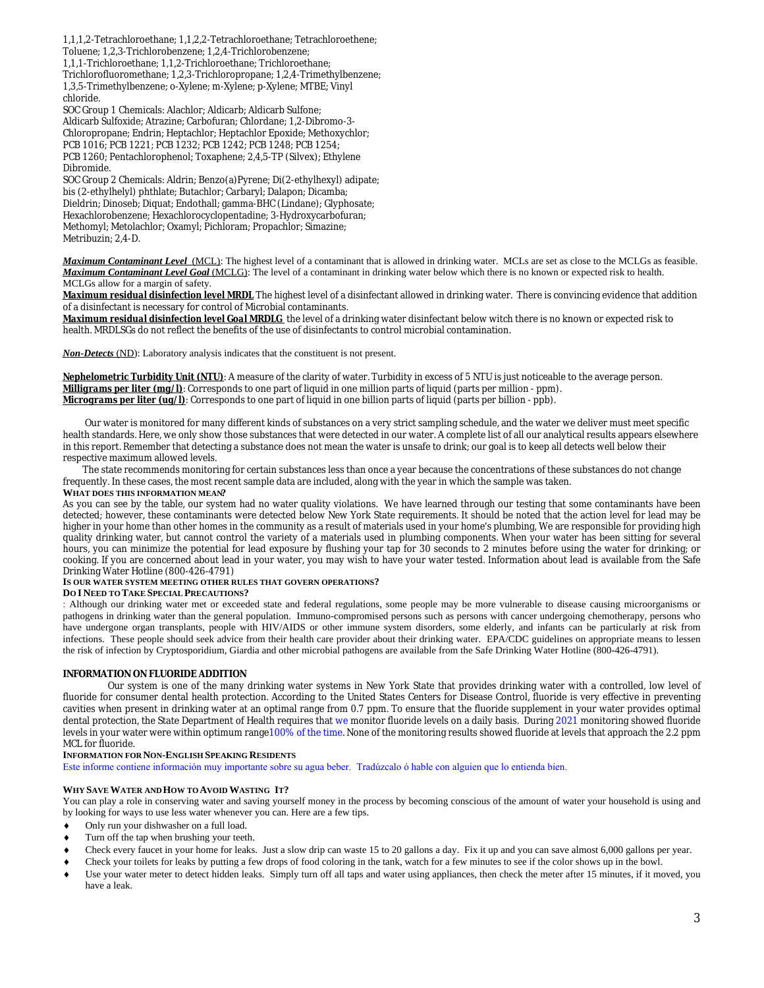1,1,1,2-Tetrachloroethane; 1,1,2,2-Tetrachloroethane; Tetrachloroethene; Toluene; 1,2,3-Trichlorobenzene; 1,2,4-Trichlorobenzene; 1,1,1-Trichloroethane; 1,1,2-Trichloroethane; Trichloroethane; Trichlorofluoromethane; 1,2,3-Trichloropropane; 1,2,4-Trimethylbenzene;

1,3,5-Trimethylbenzene; o-Xylene; m-Xylene; p-Xylene; MTBE; Vinyl chloride.

SOC Group 1 Chemicals: Alachlor; Aldicarb; Aldicarb Sulfone; Aldicarb Sulfoxide; Atrazine; Carbofuran; Chlordane; 1,2-Dibromo-3- Chloropropane; Endrin; Heptachlor; Heptachlor Epoxide; Methoxychlor; PCB 1016; PCB 1221; PCB 1232; PCB 1242; PCB 1248; PCB 1254;

PCB 1260; Pentachlorophenol; Toxaphene; 2,4,5-TP (Silvex); Ethylene Dibromide.

SOC Group 2 Chemicals: Aldrin; Benzo(a)Pyrene; Di(2-ethylhexyl) adipate; bis (2-ethylhelyl) phthlate; Butachlor; Carbaryl; Dalapon; Dicamba; Dieldrin; Dinoseb; Diquat; Endothall; gamma-BHC (Lindane); Glyphosate; Hexachlorobenzene; Hexachlorocyclopentadine; 3-Hydroxycarbofuran; Methomyl; Metolachlor; Oxamyl; Pichloram; Propachlor; Simazine; Metribuzin; 2,4-D.

*Maximum Contaminant Level*(MCL): The highest level of a contaminant that is allowed in drinking water. MCLs are set as close to the MCLGs as feasible. *Maximum Contaminant Level Goal* (MCLG): The level of a contaminant in drinking water below which there is no known or expected risk to health. MCLGs allow for a margin of safety.

*Maximum residual disinfection level MRDL* The highest level of a disinfectant allowed in drinking water. There is convincing evidence that addition of a disinfectant is necessary for control of Microbial contaminants.

*Maximum residual disinfection level Goal MRDLG* the level of a drinking water disinfectant below witch there is no known or expected risk to health. MRDLSGs do not reflect the benefits of the use of disinfectants to control microbial contamination.

*Non-Detects* (ND): Laboratory analysis indicates that the constituent is not present.

*Nephelometric Turbidity Unit (NTU)*: A measure of the clarity of water. Turbidity in excess of 5 NTU is just noticeable to the average person. *Milligrams per liter (mg/l)*: Corresponds to one part of liquid in one million parts of liquid (parts per million - ppm). *Micrograms per liter (ug/l)*: Corresponds to one part of liquid in one billion parts of liquid (parts per billion - ppb).

 Our water is monitored for many different kinds of substances on a very strict sampling schedule, and the water we deliver must meet specific health standards. Here, we only show those substances that were detected in our water. A complete list of all our analytical results appears elsewhere in this report. Remember that detecting a substance does not mean the water is unsafe to drink; our goal is to keep all detects well below their respective maximum allowed levels.

 The state recommends monitoring for certain substances less than once a year because the concentrations of these substances do not change frequently. In these cases, the most recent sample data are included, along with the year in which the sample was taken. **WHAT DOES THIS INFORMATION MEAN?**

As you can see by the table, our system had no water quality violations. We have learned through our testing that some contaminants have been detected; however, these contaminants were detected below New York State requirements. It should be noted that the action level for lead may be higher in your home than other homes in the community as a result of materials used in your home's plumbing, We are responsible for providing high quality drinking water, but cannot control the variety of a materials used in plumbing components. When your water has been sitting for several hours, you can minimize the potential for lead exposure by flushing your tap for 30 seconds to 2 minutes before using the water for drinking; or cooking. If you are concerned about lead in your water, you may wish to have your water tested. Information about lead is available from the Safe Drinking Water Hotline (800-426-4791)

# **IS OUR WATER SYSTEM MEETING OTHER RULES THAT GOVERN OPERATIONS?**

## **DO I NEED TO TAKE SPECIAL PRECAUTIONS?**

: Although our drinking water met or exceeded state and federal regulations, some people may be more vulnerable to disease causing microorganisms or pathogens in drinking water than the general population. Immuno-compromised persons such as persons with cancer undergoing chemotherapy, persons who have undergone organ transplants, people with HIV/AIDS or other immune system disorders, some elderly, and infants can be particularly at risk from infections. These people should seek advice from their health care provider about their drinking water. EPA/CDC guidelines on appropriate means to lessen the risk of infection by Cryptosporidium, Giardia and other microbial pathogens are available from the Safe Drinking Water Hotline (800-426-4791).

# **INFORMATION ON FLUORIDE ADDITION**

Our system is one of the many drinking water systems in New York State that provides drinking water with a controlled, low level of fluoride for consumer dental health protection. According to the United States Centers for Disease Control, fluoride is very effective in preventing cavities when present in drinking water at an optimal range from 0.7 ppm. To ensure that the fluoride supplement in your water provides optimal dental protection, the State Department of Health requires that we monitor fluoride levels on a daily basis. During 2021 monitoring showed fluoride levels in your water were within optimum range100% of the time. None of the monitoring results showed fluoride at levels that approach the 2.2 ppm MCL for fluoride.

## **INFORMATION FOR NON-ENGLISH SPEAKING RESIDENTS**

Este informe contiene información muy importante sobre su agua beber. Tradúzcalo ó hable con alguien que lo entienda bien.

## **WHY SAVE WATER AND HOW TO AVOID WASTING IT?**

You can play a role in conserving water and saving yourself money in the process by becoming conscious of the amount of water your household is using and by looking for ways to use less water whenever you can. Here are a few tips.

- Only run your dishwasher on a full load.
- Turn off the tap when brushing your teeth.
- Check every faucet in your home for leaks. Just a slow drip can waste 15 to 20 gallons a day. Fix it up and you can save almost 6,000 gallons per year.
- Check your toilets for leaks by putting a few drops of food coloring in the tank, watch for a few minutes to see if the color shows up in the bowl.
- Use your water meter to detect hidden leaks. Simply turn off all taps and water using appliances, then check the meter after 15 minutes, if it moved, you have a leak.